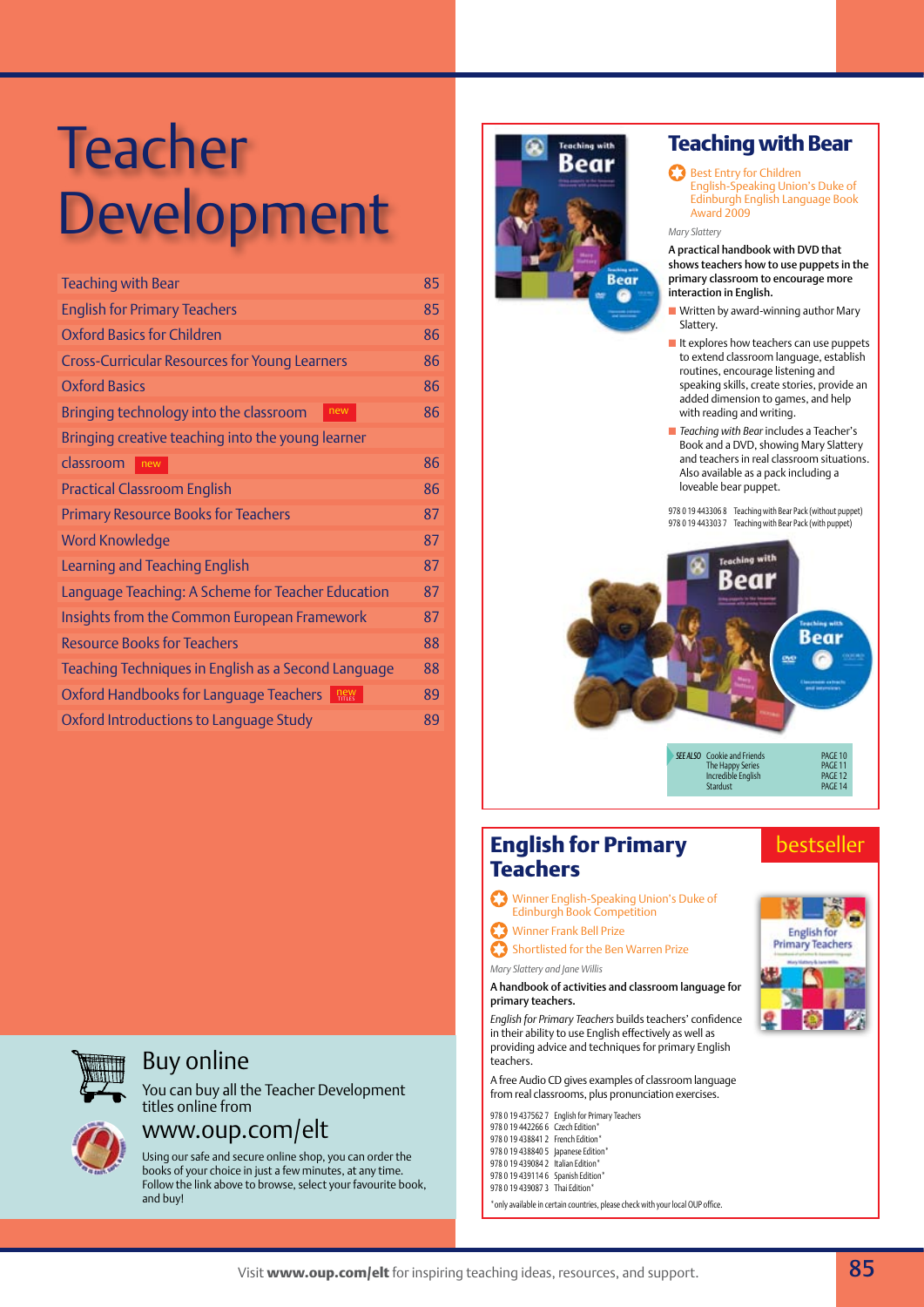| <b>Teaching with Bear</b>                            | 85 |
|------------------------------------------------------|----|
| <b>English for Primary Teachers</b>                  | 85 |
| <b>Oxford Basics for Children</b>                    | 86 |
| <b>Cross-Curricular Resources for Young Learners</b> | 86 |
| <b>Oxford Basics</b>                                 | 86 |
| Bringing technology into the classroom<br>new        | 86 |
| Bringing creative teaching into the young learner    |    |
| classroom<br>new                                     | 86 |
| <b>Practical Classroom English</b>                   | 86 |
| <b>Primary Resource Books for Teachers</b>           | 87 |
| <b>Word Knowledge</b>                                | 87 |
| Learning and Teaching English                        | 87 |
| Language Teaching: A Scheme for Teacher Education    | 87 |
| Insights from the Common European Framework          | 87 |
| <b>Resource Books for Teachers</b>                   | 88 |
| Teaching Techniques in English as a Second Language  | 88 |
| Oxford Handbooks for Language Teachers<br>new        | 89 |
| Oxford Introductions to Language Study               | 89 |



# Buy online

You can buy all the Teacher Development titles online from



# www.oup.com/elt

Using our safe and secure online shop, you can order the books of your choice in just a few minutes, at any time. Follow the link above to browse, select your favourite book, and buy!



# **Teaching with Bear**

#### Best Entry for Children

English-Speaking Union's Duke of Edinburgh English Language Book Award 2009

#### *Mary Slattery*

A practical handbook with DVD that shows teachers how to use puppets in the primary classroom to encourage more interaction in English.

- **n** Written by award-winning author Mary Slattery.
- $\blacksquare$  It explores how teachers can use puppets to extend classroom language, establish routines, encourage listening and speaking skills, create stories, provide an added dimension to games, and help with reading and writing.
- n *Teaching with Bear* includes a Teacher's Book and a DVD, showing Mary Slattery and teachers in real classroom situations. Also available as a pack including a loveable bear puppet.

978 0 19 443306 8 Teaching with Bear Pack (without puppet) 978 0 19 443303 7 Teaching with Bear Pack (with puppet)



# **English for Primary Teachers**

Winner English-Speaking Union's Duke of Edinburgh Book Competition

Winner Frank Bell Prize

*Mary Slattery and Jane Willis*

C3 Shortlisted for the Ben Warren Prize

#### A handbook of activities and classroom language for primary teachers.

*English for Primary Teachers* builds teachers' confidence in their ability to use English effectively as well as providing advice and techniques for primary English teachers.

A free Audio CD gives examples of classroom language from real classrooms, plus pronunciation exercises.

978 0 19 437562 7 English for Primary Teachers 978 0 19 442266 6 Czech Edition\* 978 0 19 438841 2 French Edition

- 978 0 19 438840 5 Japanese Edition\*
- 978 0 19 439084 2 Italian Edition\*
- 978 0 19 439114 6 Spanish Edition' 978 0 19 439087 3 Thai Edition\*

\*only available in certain countries, please check with your local OUP office.



bestseller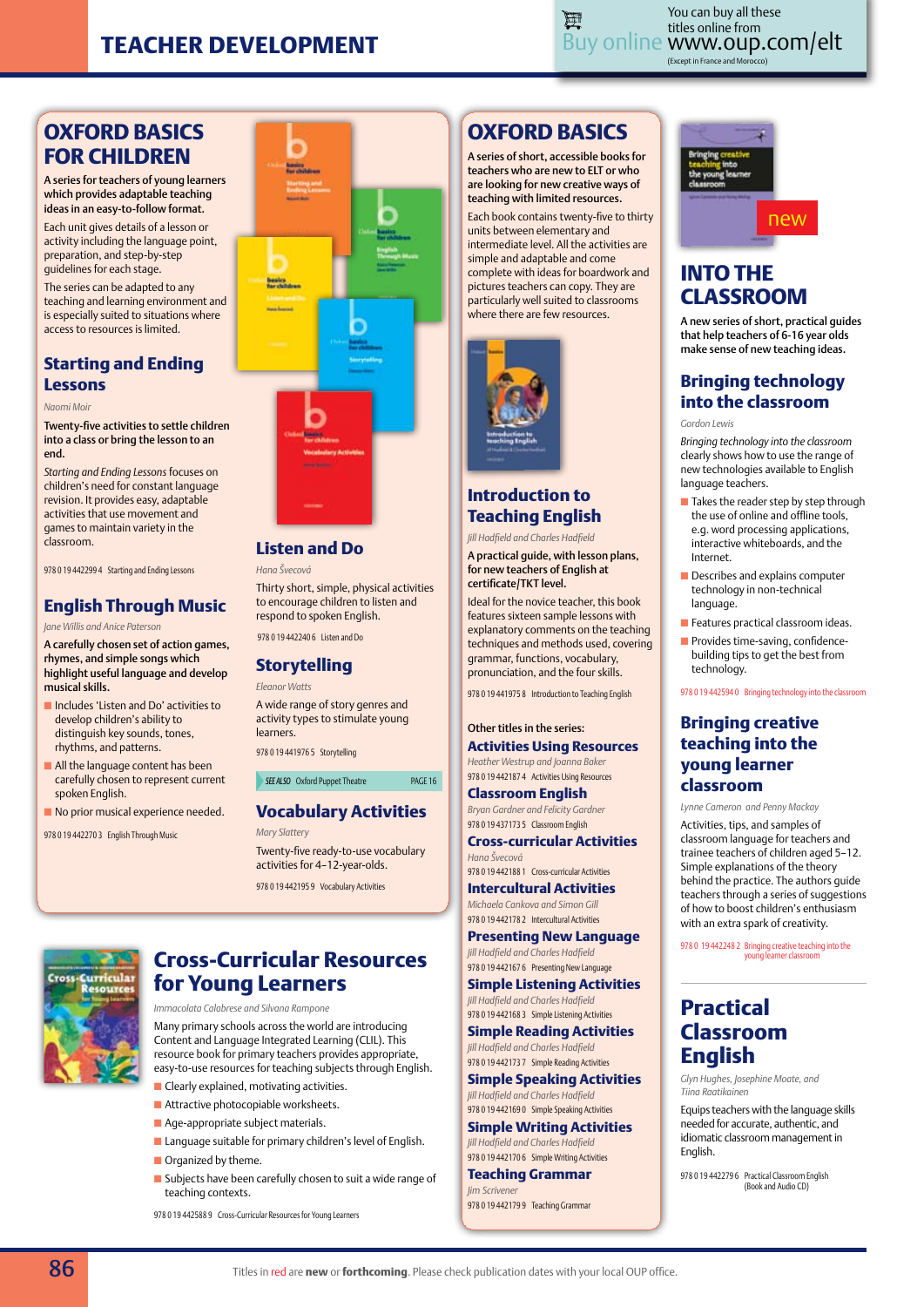

Buy online www.oup.com/elt **■**<br>(Except in France and Morocco) You can buy all these titles online from

# **Oxford Basics for children**

A series for teachers of young learners which provides adaptable teaching ideas in an easy-to-follow format.

Each unit gives details of a lesson or activity including the language point, preparation, and step-by-step guidelines for each stage.

The series can be adapted to any teaching and learning environment and is especially suited to situations where access to resources is limited.

## **Starting and Ending Lessons**

*Naomi Moir* 

Twenty-five activities to settle children into a class or bring the lesson to an end.

*Starting and Ending Lessons* focuses on children's need for constant language revision. It provides easy, adaptable activities that use movement and games to maintain variety in the classroom.

978 0 19 442299 4 Starting and Ending Lessons

# **English Through Music**

*Jane Willis and Anice Paterson*

A carefully chosen set of action games, rhymes, and simple songs which highlight useful language and develop musical skills.

- Includes 'Listen and Do' activities to develop children's ability to distinguish key sounds, tones, rhythms, and patterns.
- **n** All the language content has been carefully chosen to represent current spoken English.
- **n** No prior musical experience needed.

978 0 19 442270 3 English Through Music



## **Listen and Do**

*Hana Švecová*

Thirty short, simple, physical activities to encourage children to listen and respond to spoken English.

978 0 19 442240 6 Listen and Do

#### **Storytelling**

*Eleanor Watts*

A wide range of story genres and activity types to stimulate young learners.

978 0 19 441976 5 Storytelling

#### **SEE ALSO** Oxford Puppet Theatre **PAGE 16**

# **Vocabulary Activities**

*Mary Slattery* Twenty-five ready-to-use vocabulary activities for 4–12-year-olds.

978 0 19 442195 9 Vocabulary Activities



# **Cross-Curricular Resources for Young Learners**

*Immacolata Calabrese and Silvana Rampone* 

Many primary schools across the world are introducing Content and Language Integrated Learning (CLIL). This resource book for primary teachers provides appropriate, easy-to-use resources for teaching subjects through English.

- $\blacksquare$  Clearly explained, motivating activities.  $\blacksquare$  Attractive photocopiable worksheets.
- 
- Age-appropriate subject materials.
- $\blacksquare$  Language suitable for primary children's level of English.  $\blacksquare$  Organized by theme.
- $\blacksquare$  Subjects have been carefully chosen to suit a wide range of teaching contexts.

978 0 19 442588 9 Cross-Curricular Resources for Young Learners

# **OXFORD BASICS**

A series of short, accessible books for teachers who are new to ELT or who are looking for new creative ways of teaching with limited resources.

Each book contains twenty-five to thirty units between elementary and intermediate level. All the activities are simple and adaptable and come complete with ideas for boardwork and pictures teachers can copy. They are particularly well suited to classrooms where there are few resources.



#### **Introduction to Teaching English**

*Jill Hadfield and Charles Hadfield*

A practical guide, with lesson plans, for new teachers of English at certificate/TKT level.

Ideal for the novice teacher, this book features sixteen sample lessons with explanatory comments on the teaching techniques and methods used, covering grammar, functions, vocabulary, pronunciation, and the four skills.

978 0 19 441975 8 Introduction to Teaching English

Other titles in the series: **Activities Using Resources** *Heather Westrup and Joanna Baker*

978 0 19 442187 4 Activities Using Resources **Classroom English** 

*Bryan Gardner and Felicity Gardner* 978 0 19 437173 5 Classroom English **Cross-curricular Activities**

*Hana Švecová* 978 0 19 442188 1 Cross-curricular Activities

**Intercultural Activities** *Michaela Cankova and Simon Gill*

978 0 19 442178 2 Intercultural Activities **Presenting New Language** *Jill Hadfield and Charles Hadfield*

978 0 19 442167 6 Presenting New Languag **Simple Listening Activities** *Jill Hadfield and Charles Hadfield* 978 0 19 442168 3 Simple Listening Activities

**Simple Reading Activities** *Jill Hadfield and Charles Hadfield*

978 0 19 442173 7 Simple Reading Activities **Simple Speaking Activities** *Jill Hadfield and Charles Hadfield* 978 0 19 442169 0 Simple Speaking Activities

**Simple Writing Activities** *Jill Hadfield and Charles Hadfield*

978 0 19 442170 6 Simple Writing Activities **Teaching Grammar** *Jim Scrivener*

978 0 19 442179 9 Teaching Grammar



# **INTO THE CLASSROOM**

A new series of short, practical guides that help teachers of 6-16 year olds make sense of new teaching ideas.

## **Bringing technology into the classroom**

*Gordon Lewis*

*Bringing technology into the classroom* clearly shows how to use the range of new technologies available to English language teachers.

- Takes the reader step by step through the use of online and offline tools, e.g. word processing applications, interactive whiteboards, and the Internet.
- **n** Describes and explains computer technology in non-technical language.
- **n** Features practical classroom ideas.
- **n** Provides time-saving, confidencebuilding tips to get the best from technology.

978 0 19 442594 0 Bringing technology into the classroom

## **Bringing creative teaching into the young learner classroom**

*Lynne Cameron and Penny Mackay*  Activities, tips, and samples of classroom language for teachers and trainee teachers of children aged 5–12. Simple explanations of the theory behind the practice. The authors quide teachers through a series of suggestions of how to boost children's enthusiasm with an extra spark of creativity.

978 0 19 442248 2 Bringing creative teaching into the young learner classroom

# **Practical Classroom English**

*Glyn Hughes, Josephine Moate, and Tiina Raatikainen*

Equips teachers with the language skills needed for accurate, authentic, and idiomatic classroom management in English.

978 0 19 442279 6 Practical Classroom English (Book and Audio CD)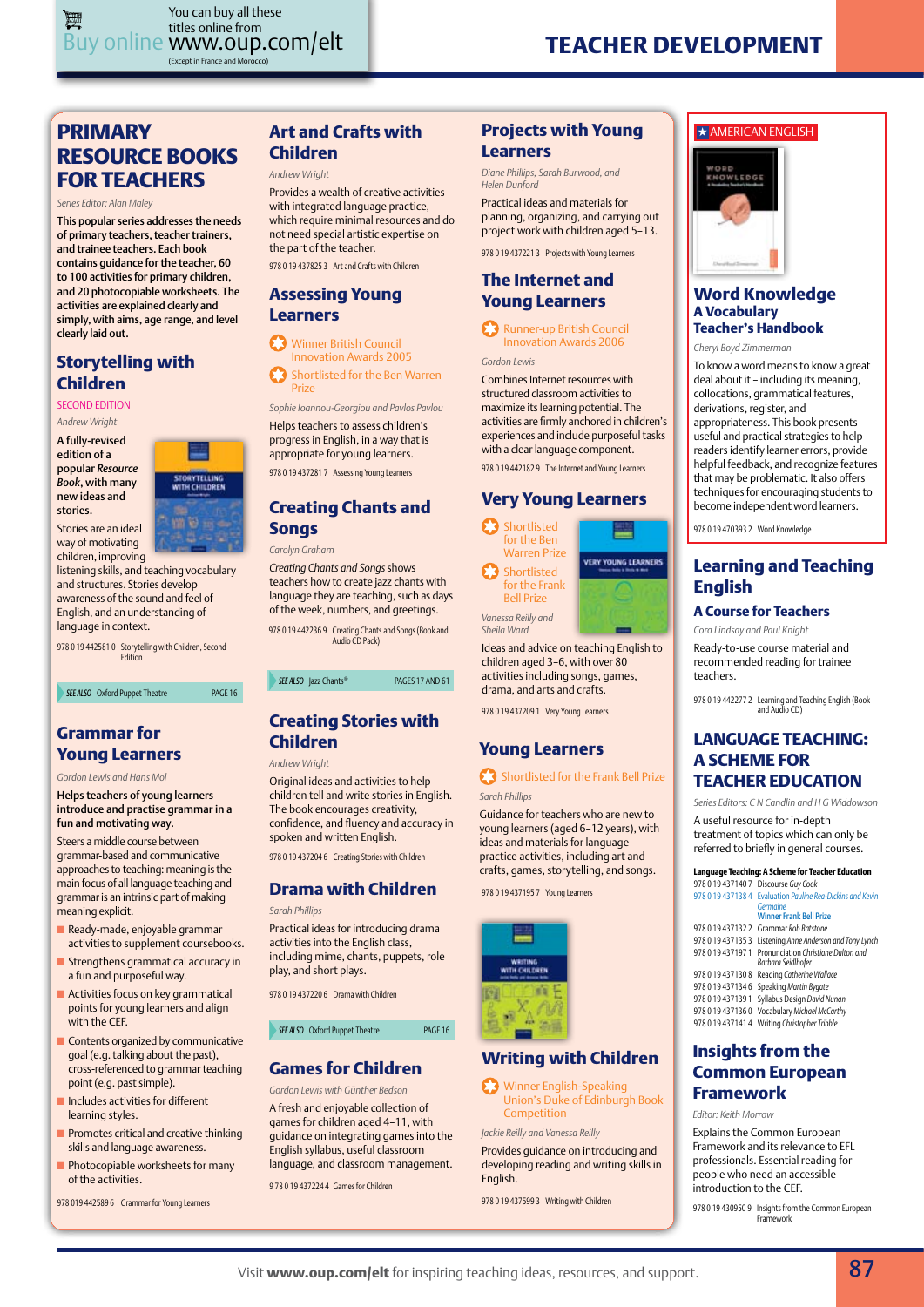# **PRIMARY RESOURCE BOOKS FOR TEACHERS**

*Series Editor: Alan Maley*

This popular series addresses the needs of primary teachers, teacher trainers, and trainee teachers. Each book contains guidance for the teacher, 60 to 100 activities for primary children, and 20 photocopiable worksheets. The activities are explained clearly and simply, with aims, age range, and level clearly laid out.

## **Storytelling with Children**

Second Edition *Andrew Wright*

A fully-revised edition of a popular *Resource Book*, with many new ideas and stories.

Stories are an ideal



PAGE 16

way of motivating children, improving listening skills, and teaching vocabulary and structures. Stories develop

awareness of the sound and feel of English, and an understanding of language in context.

978 0 19 442581 0 Storytelling with Children, Second Edition

| SEE ALSO Oxford Puppet Theatre |  |
|--------------------------------|--|
|--------------------------------|--|

## **Grammar for Young Learners**

*Gordon Lewis and Hans Mol* 

Helps teachers of young learners introduce and practise grammar in a fun and motivating way.

Steers a middle course between grammar-based and communicative approaches to teaching: meaning is the main focus of all language teaching and grammar is an intrinsic part of making meaning explicit.

- n Ready-made, enjoyable grammar activities to supplement coursebooks.
- $\blacksquare$  Strengthens grammatical accuracy in a fun and purposeful way.
- $\blacksquare$  Activities focus on key grammatical points for young learners and align with the CEF.
- **n** Contents organized by communicative goal (e.g. talking about the past), cross-referenced to grammar teaching point (e.g. past simple).
- **n** Includes activities for different learning styles.
- **n** Promotes critical and creative thinking skills and language awareness.
- $\blacksquare$  Photocopiable worksheets for many of the activities.

978 019 442589 6 Grammar for Young Learners

# **Art and Crafts with Children**

#### *Andrew Wright*

978 0 19 437825 3 Art and Crafts with Children Provides a wealth of creative activities with integrated language practice, which require minimal resources and do not need special artistic expertise on the part of the teacher.

#### **Assessing Young Learners**

**83** Winner British Council Innovation Awards 2005 Shortlisted for the Ben Warren

Prize *Sophie Ioannou-Georgiou and Pavlos Pavlou*

978 0 19 437281 7 Assessing Young Learners Helps teachers to assess children's progress in English, in a way that is appropriate for young learners.

## **Creating Chants and Songs**

*Carolyn Graham* 

*Creating Chants and Songs* shows teachers how to create jazz chants with language they are teaching, such as days of the week, numbers, and greetings.

978 0 19 442236 9 Creating Chants and Songs (Book and Audio CD Pack)

**SEE ALSO** Jazz Chants® **PAGES 17 AND 61** 

## **Creating Stories with Children**

*Andrew Wright* 

Original ideas and activities to help children tell and write stories in English. The book encourages creativity, confidence, and fluency and accuracy in spoken and written English.

978 0 19 437204 6 Creating Stories with Children

## **Drama with Children**

#### *Sarah Phillips*

Practical ideas for introducing drama activities into the English class, including mime, chants, puppets, role play, and short plays.

978 0 19 437220 6 Drama with Children

**SEE ALSO** Oxford Puppet Theatre **PAGE 16** 

## **Games for Children**

*Gordon Lewis with Günther Bedson*

A fresh and enjoyable collection of games for children aged 4–11, with guidance on integrating games into the English syllabus, useful classroom language, and classroom management.

9 78 0 19 437224 4 Games for Children

## **Projects with Young Learners**

*Diane Phillips, Sarah Burwood, and Helen Dunford*

Practical ideas and materials for planning, organizing, and carrying out project work with children aged 5–13.

978 0 19 437221 3 Projects with Young Learners

## **The Internet and Young Learners**

Runner-up British Council Innovation Awards 2006

*Gordon Lewis*

Combines Internet resources with structured classroom activities to maximize its learning potential. The activities are firmly anchored in children's experiences and include purposeful tasks with a clear language component.

978 0 19 442182 9 The Internet and Young Learners

# **Very Young Learners**

₩ **VERY YOUNG LEARNERS** 

Shortlisted for the Ben Warren Prize Shortlisted for the Frank Bell Prize *Vanessa Reilly and* 

*Sheila Ward*

Ideas and advice on teaching English to children aged 3–6, with over 80 activities including songs, games, drama, and arts and crafts.

978 0 19 437209 1 Very Young Learners

# **Young Learners**

#### Shortlisted for the Frank Bell Prize *Sarah Phillips*

Guidance for teachers who are new to

young learners (aged 6–12 years), with ideas and materials for language practice activities, including art and crafts, games, storytelling, and songs.

978 0 19 437195 7 Young Learners



# **Writing with Children**

Winner English-Speaking Union's Duke of Edinburgh Book Competition

*Jackie Reilly and Vanessa Reilly*

Provides guidance on introducing and developing reading and writing skills in English.

978 0 19 437599 3 Writing with Children

#### $\star$  AMERICAN ENGLISH



#### **Word Knowledge A Vocabulary Teacher's Handbook**

*Cheryl Boyd Zimmerman*

To know a word means to know a great deal about it – including its meaning, collocations, grammatical features, derivations, register, and appropriateness. This book presents useful and practical strategies to help readers identify learner errors, provide helpful feedback, and recognize features that may be problematic. It also offers techniques for encouraging students to become independent word learners.

978 0 19 470393 2 Word Knowledge

## **Learning and Teaching English**

#### **A Course for Teachers**

*Cora Lindsay and Paul Knight*

Ready-to-use course material and recommended reading for trainee teachers.

978 0 19 442277 2 Learning and Teaching English (Book and Audio CD)

## **LANGUAGE TEACHING: A SCHEME FOR TEACHER EDUCATION**

*Series Editors: C N Candlin and H G Widdowson* A useful resource for in-depth treatment of topics which can only be referred to briefly in general courses.

#### **Language Teaching: A Scheme for Teacher Education**

| 9/8 0 19 43/140 / Discourse Guy Cook                                        |
|-----------------------------------------------------------------------------|
| 978 0 19 437138 4 Evaluation Pauline Rea-Dickins and Kevin                  |
| Germaine                                                                    |
| <b>Winner Frank Bell Prize</b>                                              |
| 978 0 19 437132 2 Grammar Rob Batstone                                      |
| 978 0 19 437135 3 Listening Anne Anderson and Tony Lynch                    |
| 978 0 19 437197 1 Pronunciation Christiane Dalton and<br>Barbara Seidlhofer |

978 0 19 437130 8 Reading *Catherine Wallace* 978 0 19 437134 6 Speaking *Martin Bygate* 978 0 19 437139 1 Syllabus Design *David Nunan*

978 0 19 437136 0 Vocabulary *Michael McCarthy* 978 0 19 437141 4 Writing *Christopher Tribble*

#### **Insights from the Common European Framework**

*Editor: Keith Morrow* 

Explains the Common European Framework and its relevance to EFL professionals. Essential reading for people who need an accessible introduction to the CEF.

978 0 19 430950 9 Insights from the Common European ework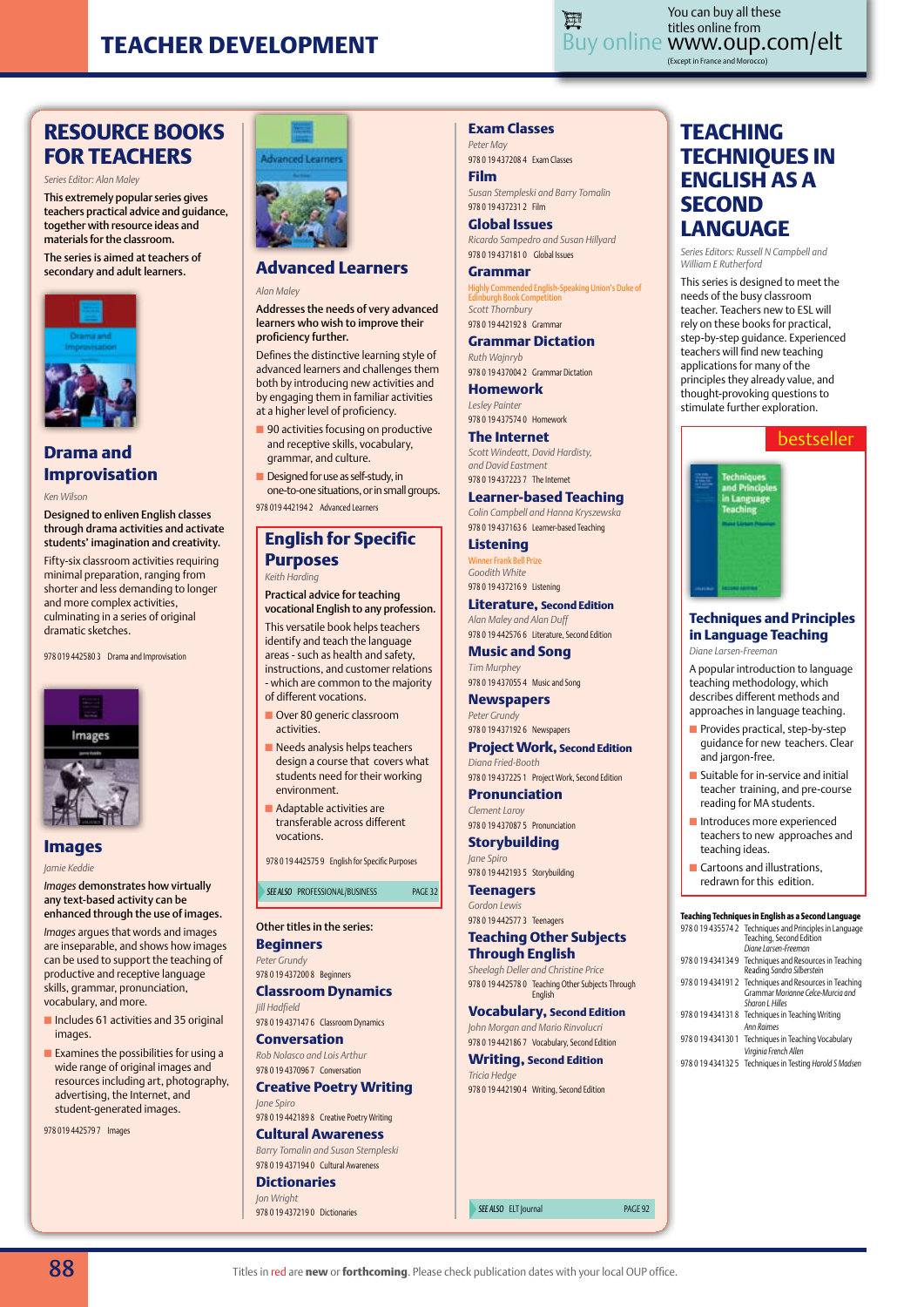

Buy online www.oup.com/elt (Except in France and Morocco) You can buy all these titles online from

# **RESOURCE BOOKS FOR TEACHERS**

*Series Editor: Alan Maley*

This extremely popular series gives teachers practical advice and guidance, together with resource ideas and materials for the classroom.

The series is aimed at teachers of secondary and adult learners.



## **Drama and Improvisation**

*Ken Wilson*

Designed to enliven English classes through drama activities and activate students' imagination and creativity.

Fifty-six classroom activities requiring minimal preparation, ranging from shorter and less demanding to longer and more complex activities, culminating in a series of original dramatic sketches.

978 019 442580 3 Drama and Improvisation



**Images**

*Jamie Keddie*

*Images* demonstrates how virtually any text-based activity can be enhanced through the use of images.

*Images* argues that words and images are inseparable, and shows how images can be used to support the teaching of productive and receptive language skills, grammar, pronunciation, vocabulary, and more.

- $\blacksquare$  Includes 61 activities and 35 original images
- $\blacksquare$  Examines the possibilities for using a wide range of original images and resources including art, photography, advertising, the Internet, and student-generated images.

978 019 442579 7 Images

## **Exam Classes**

*Peter May* 978 0 19 437208 4 Exam Classes

**Film** *Susan Stempleski and Barry Tomalin* 978 0 19 437231 2 Film

**Global Issues** *Ricardo Sampedro and Susan Hillyard* 978 0 19 437181 0 Global Issues

**Grammar** ed English-Speaking Union's Duke of Edinburgh Book Competition *Scott Thornbury* 978 0 19 442192 8 Grammar

**Grammar Dictation** *Ruth Wajnryb* 978 0 19 437004 2 Grammar Dictation

**Homework**

*Lesley Painter* 978 0 19 437574 0 Homework

**The Internet** *Scott Windeatt, David Hardisty, and David Eastment* 978 0 19 437223 7 The Internet

#### **Learner-based Teaching**

*Colin Campbell and Hanna Kryszewska* 978 0 19 437163 6 Learner-based Teaching

**Listening** Winner Frank Bell Prize *Goodith White*

978 0 19 437216 9 Listening **Literature, Second Edition**

*Alan Maley and Alan Duff* 978 0 19 442576 6 Literature, Second Edition

**Music and Song** *Tim Murphey* 978 0 19 437055 4 Music and Song

**Newspapers**

*Peter Grundy* 978 0 19 437192 6 Newspapers

**Project Work, Second Edition** *Diana Fried-Booth* 978 0 19 437225 1 Project Work, Second Edition

**Pronunciation** *Clement Laroy* 978 0 19 437087 5 Pronunciation

**Storybuilding**

*Jane Spiro* 978 0 19 442193 5 Storybuilding **Teenagers**

*Gordon Lewis* 978 0 19 442577 3 Teenagers

**SEE ALSO PROFESSIONAL/BUSINESS PAGE 32** 

978 0 19 442575 9 English for Specific Purposes

**English for Specific** 

**Advanced Learners**

Addresses the needs of very advanced learners who wish to improve their

Defines the distinctive learning style of advanced learners and challenges them both by introducing new activities and by engaging them in familiar activities at a higher level of proficiency.  $\blacksquare$  90 activities focusing on productive and receptive skills, vocabulary, grammar, and culture.  $\blacksquare$  Designed for use as self-study, in one-to-one situations, or in small groups.

*Alan Maley*

proficiency further.

**Advanced Learners** 

Practical advice for teaching vocational English to any profession. This versatile book helps teachers identify and teach the language areas - such as health and safety, instructions, and customer relations - which are common to the majority

of different vocations. **n** Over 80 generic classroom

 $\blacksquare$  Needs analysis helps teachers design a course that covers what students need for their working

activities.

environment.  $\blacksquare$  Adaptable activities are transferable across different

vocations.

Other titles in the series: **Beginners** *Peter Grundy* 978 0 19 437200 8 Beginners **Classroom Dynamics**

978 0 19 437147 6 Classroom Dynamics **Conversation** *Rob Nolasco and Lois Arthur* 978 0 19 437096 7 Conversation

**Creative Poetry Writing**

978 0 19 442189 8 Creative Poetry Writing **Cultural Awareness** *Barry Tomalin and Susan Stempleski* 978 0 19 437194 0 Cultural Awareness **Dictionaries** *Jon Wright*

*Jill Hadfield*

*Jane Spiro*

**Purposes** *Keith Harding*

978 019 442194 2 Advanced Learners

#### **Teaching Other Subjects Through English**

*Sheelagh Deller and Christine Price* 978 0 19 442578 0 Teaching Other Subjects Through English

#### **Vocabulary, Second Edition**

*John Morgan and Mario Rinvolucri* 978 0 19 442186 7 Vocabulary, Second Edition

**Writing, Second Edition** *Tricia Hedge* 978 0 19 442190 4 Writing, Second Edition

978 0 19 437219 0 Dictionaries *See also* ELT Journal page 92

# **TEACHING TECHNIQUES IN ENGLISH AS A SECOND LANGUAGE**

*Series Editors: Russell N Campbell and William E Rutherford*

This series is designed to meet the needs of the busy classroom teacher. Teachers new to ESL will rely on these books for practical, step-by-step guidance. Experienced teachers will find new teaching applications for many of the principles they already value, and thought-provoking questions to stimulate further exploration.



#### **Techniques and Principles in Language Teaching** *Diane Larsen-Freeman*

A popular introduction to language teaching methodology, which describes different methods and approaches in language teaching.

- $\blacksquare$  Provides practical, step-by-step guidance for new teachers. Clear and jargon-free.
- **Suitable for in-service and initial** teacher training, and pre-course reading for MA students.
- $\blacksquare$  Introduces more experienced teachers to new approaches and teaching ideas.
- **Cartoons and illustrations.** redrawn for this edition.

#### **Teaching Techniques in English as a Second Language**

| 978 0 19 435574 2 Techniques and Principles in Language<br>Teaching, Second Edition<br>Diane Larsen-Freeman    |
|----------------------------------------------------------------------------------------------------------------|
| 978 0 19 434134 9 Techniques and Resources in Teaching<br>Reading Sandra Silberstein                           |
| 978 0 19 434191 2 Techniques and Resources in Teaching<br>Grammar Marianne Celce-Murcia and<br>Sharon L Hilles |
| 978 0 19 434131 8 Techniques in Teaching Writing<br><b>Ann Raimes</b>                                          |
| 978 0 19 434130 1 Techniques in Teaching Vocabulary<br>Virginia French Allen                                   |
| 978 0 19 434132 5 Techniques in Testing Harold S Madsen                                                        |

88 Titles in red are **new** or **forthcoming**. Please check publication dates with your local OUP office.